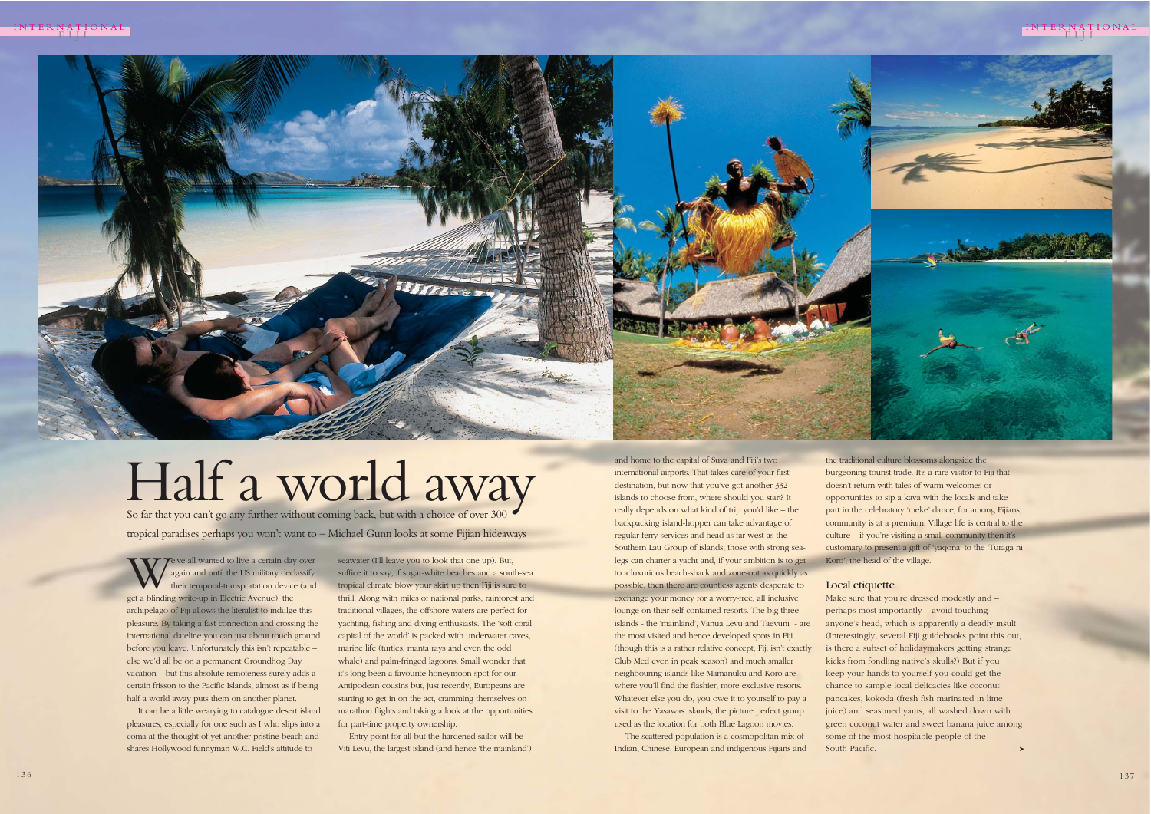and home to the capital of Suva and Fiji's two international airports. That takes care of your first destination, but now that you've got another 332 islands to choose from, where should you start? It really depends on what kind of trip you'd like – the backpacking island-hopper can take advantage of regular ferry services and head as far west as the Southern Lau Group of islands, those with strong sealegs can charter a yacht and, if your ambition is to get to a luxurious beach-shack and zone-out as quickly as possible, then there are countless agents desperate to exchange your money for a worry-free, all inclusive lounge on their self-contained resorts. The big three islands - the 'mainland', Vanua Levu and Taevuni - are the most visited and hence developed spots in Fiji (though this is a rather relative concept, Fiji isn't exactly Club Med even in peak season) and much smaller neighbouring islands like Mamanuku and Koro are where you'll find the flashier, more exclusive resorts. Whatever else you do, you owe it to yourself to pay a visit to the Yasawas islands, the picture perfect group used as the location for both Blue Lagoon movies.

The scattered population is a cosmopolitan mix of Indian, Chinese, European and indigenous Fijians and the traditional culture blossoms alongside the burgeoning tourist trade. It's a rare visitor to Fiji that doesn't return with tales of warm welcomes or opportunities to sip a kava with the locals and take part in the celebratory 'meke' dance, for among Fijians, community is at a premium. Village life is central to the culture – if you're visiting a small community then it's customary to present a gift of 'yaqona' to the 'Turaga ni Koro', the head of the village.

e've all wanted to live a certain day over again and until the US military declassify their temporal-transportation device (and get a blinding write-up in Electric Avenue), the archipelago of Fiji allows the literalist to indulge this pleasure. By taking a fast connection and crossing the international dateline you can just about touch ground before you leave. Unfortunately this isn't repeatable – else we'd all be on a permanent Groundhog Day vacation – but this absolute remoteness surely adds a certain frisson to the Pacific Islands, almost as if being half a world away puts them on another planet.

# Local etiquette

Make sure that you're dressed modestly and perhaps most importantly – avoid touching anyone's head, which is apparently a deadly insult! (Interestingly, several Fiji guidebooks point this out, is there a subset of holidaymakers getting strange kicks from fondling native's skulls?) But if you keep your hands to yourself you could get the chance to sample local delicacies like coconut pancakes, kokoda (fresh fish marinated in lime juice) and seasoned yams, all washed down with green coconut water and sweet banana juice among some of the most hospitable people of the ➤

South Pacific.



INTERNATIONAL



It can be a little wearying to catalogue desert island pleasures, especially for one such as I who slips into a coma at the thought of yet another pristine beach and shares Hollywood funnyman W.C. Field's attitude to

seawater (I'll leave you to look that one up). But, suffice it to say, if sugar-white beaches and a south-sea tropical climate blow your skirt up then Fiji is sure to thrill. Along with miles of national parks, rainforest and traditional villages, the offshore waters are perfect for yachting, fishing and diving enthusiasts. The 'soft coral capital of the world' is packed with underwater caves, marine life (turtles, manta rays and even the odd whale) and palm-fringed lagoons. Small wonder that it's long been a favourite honeymoon spot for our Antipodean cousins but, just recently, Europeans are starting to get in on the act, cramming themselves on marathon flights and taking a look at the opportunities for part-time property ownership.

**MISKESSTY** 

Entry point for all but the hardened sailor will be Viti Levu, the largest island (and hence 'the mainland')

So far that you can't go any further without coming back, but with a choice of over 300 tropical paradises perhaps you won't want to – Michael Gunn looks at some Fijian hideaways

# Half a world away